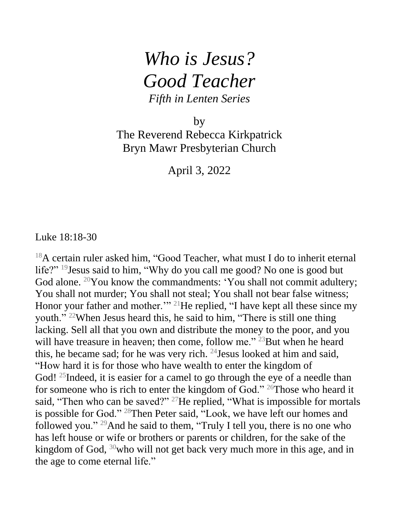## *Who is Jesus? Good Teacher Fifth in Lenten Series*

by

The Reverend Rebecca Kirkpatrick Bryn Mawr Presbyterian Church

April 3, 2022

Luke 18:18-30

<sup>18</sup>A certain ruler asked him, "Good Teacher, what must I do to inherit eternal life?" <sup>19</sup>Jesus said to him, "Why do you call me good? No one is good but God alone. <sup>20</sup>You know the commandments: 'You shall not commit adultery; You shall not murder; You shall not steal; You shall not bear false witness; Honor your father and mother."<sup>21</sup>He replied, "I have kept all these since my youth." <sup>22</sup>When Jesus heard this, he said to him, "There is still one thing lacking. Sell all that you own and distribute the money to the poor, and you will have treasure in heaven; then come, follow me."<sup>23</sup>But when he heard this, he became sad; for he was very rich.  $^{24}$  Jesus looked at him and said, "How hard it is for those who have wealth to enter the kingdom of God!<sup>25</sup>Indeed, it is easier for a camel to go through the eye of a needle than for someone who is rich to enter the kingdom of God." <sup>26</sup>Those who heard it said, "Then who can be saved?" <sup>27</sup>He replied, "What is impossible for mortals is possible for God." <sup>28</sup>Then Peter said, "Look, we have left our homes and followed you." <sup>29</sup>And he said to them, "Truly I tell you, there is no one who has left house or wife or brothers or parents or children, for the sake of the kingdom of God, <sup>30</sup>who will not get back very much more in this age, and in the age to come eternal life."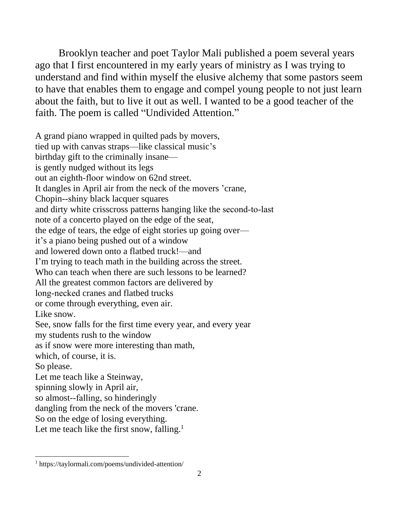Brooklyn teacher and poet Taylor Mali published a poem several years ago that I first encountered in my early years of ministry as I was trying to understand and find within myself the elusive alchemy that some pastors seem to have that enables them to engage and compel young people to not just learn about the faith, but to live it out as well. I wanted to be a good teacher of the faith. The poem is called "Undivided Attention."

A grand piano wrapped in quilted pads by movers, tied up with canvas straps—like classical music's birthday gift to the criminally insane is gently nudged without its legs out an eighth‐floor window on 62nd street. It dangles in April air from the neck of the movers 'crane, Chopin-‐shiny black lacquer squares and dirty white crisscross patterns hanging like the second‐to‐last note of a concerto played on the edge of the seat, the edge of tears, the edge of eight stories up going over it's a piano being pushed out of a window and lowered down onto a flatbed truck!—and I'm trying to teach math in the building across the street. Who can teach when there are such lessons to be learned? All the greatest common factors are delivered by long‐necked cranes and flatbed trucks or come through everything, even air. Like snow. See, snow falls for the first time every year, and every year my students rush to the window as if snow were more interesting than math, which, of course, it is. So please. Let me teach like a Steinway, spinning slowly in April air, so almost-‐falling, so hinderingly dangling from the neck of the movers 'crane. So on the edge of losing everything. Let me teach like the first snow, falling.<sup>1</sup>

 $\overline{a}$ 

<sup>1</sup> https://taylormali.com/poems/undivided-attention/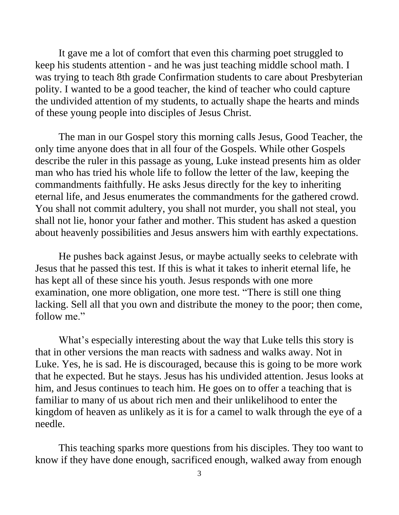It gave me a lot of comfort that even this charming poet struggled to keep his students attention - and he was just teaching middle school math. I was trying to teach 8th grade Confirmation students to care about Presbyterian polity. I wanted to be a good teacher, the kind of teacher who could capture the undivided attention of my students, to actually shape the hearts and minds of these young people into disciples of Jesus Christ.

The man in our Gospel story this morning calls Jesus, Good Teacher, the only time anyone does that in all four of the Gospels. While other Gospels describe the ruler in this passage as young, Luke instead presents him as older man who has tried his whole life to follow the letter of the law, keeping the commandments faithfully. He asks Jesus directly for the key to inheriting eternal life, and Jesus enumerates the commandments for the gathered crowd. You shall not commit adultery, you shall not murder, you shall not steal, you shall not lie, honor your father and mother. This student has asked a question about heavenly possibilities and Jesus answers him with earthly expectations.

He pushes back against Jesus, or maybe actually seeks to celebrate with Jesus that he passed this test. If this is what it takes to inherit eternal life, he has kept all of these since his youth. Jesus responds with one more examination, one more obligation, one more test. "There is still one thing lacking. Sell all that you own and distribute the money to the poor; then come, follow me."

What's especially interesting about the way that Luke tells this story is that in other versions the man reacts with sadness and walks away. Not in Luke. Yes, he is sad. He is discouraged, because this is going to be more work that he expected. But he stays. Jesus has his undivided attention. Jesus looks at him, and Jesus continues to teach him. He goes on to offer a teaching that is familiar to many of us about rich men and their unlikelihood to enter the kingdom of heaven as unlikely as it is for a camel to walk through the eye of a needle.

This teaching sparks more questions from his disciples. They too want to know if they have done enough, sacrificed enough, walked away from enough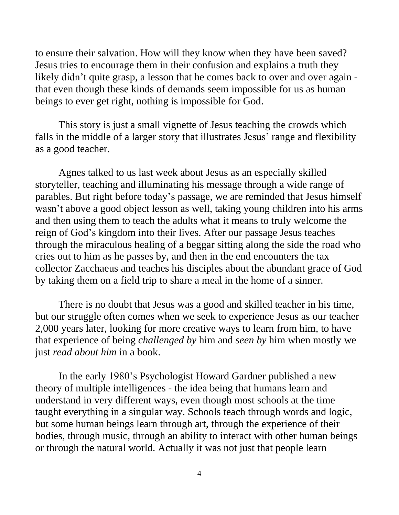to ensure their salvation. How will they know when they have been saved? Jesus tries to encourage them in their confusion and explains a truth they likely didn't quite grasp, a lesson that he comes back to over and over again that even though these kinds of demands seem impossible for us as human beings to ever get right, nothing is impossible for God.

This story is just a small vignette of Jesus teaching the crowds which falls in the middle of a larger story that illustrates Jesus' range and flexibility as a good teacher.

Agnes talked to us last week about Jesus as an especially skilled storyteller, teaching and illuminating his message through a wide range of parables. But right before today's passage, we are reminded that Jesus himself wasn't above a good object lesson as well, taking young children into his arms and then using them to teach the adults what it means to truly welcome the reign of God's kingdom into their lives. After our passage Jesus teaches through the miraculous healing of a beggar sitting along the side the road who cries out to him as he passes by, and then in the end encounters the tax collector Zacchaeus and teaches his disciples about the abundant grace of God by taking them on a field trip to share a meal in the home of a sinner.

There is no doubt that Jesus was a good and skilled teacher in his time, but our struggle often comes when we seek to experience Jesus as our teacher 2,000 years later, looking for more creative ways to learn from him, to have that experience of being *challenged by* him and *seen by* him when mostly we just *read about him* in a book.

In the early 1980's Psychologist Howard Gardner published a new theory of multiple intelligences - the idea being that humans learn and understand in very different ways, even though most schools at the time taught everything in a singular way. Schools teach through words and logic, but some human beings learn through art, through the experience of their bodies, through music, through an ability to interact with other human beings or through the natural world. Actually it was not just that people learn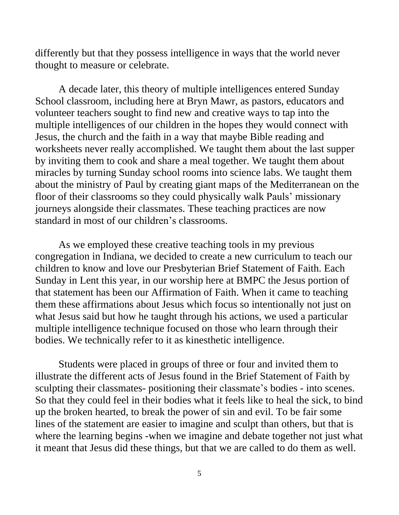differently but that they possess intelligence in ways that the world never thought to measure or celebrate.

A decade later, this theory of multiple intelligences entered Sunday School classroom, including here at Bryn Mawr, as pastors, educators and volunteer teachers sought to find new and creative ways to tap into the multiple intelligences of our children in the hopes they would connect with Jesus, the church and the faith in a way that maybe Bible reading and worksheets never really accomplished. We taught them about the last supper by inviting them to cook and share a meal together. We taught them about miracles by turning Sunday school rooms into science labs. We taught them about the ministry of Paul by creating giant maps of the Mediterranean on the floor of their classrooms so they could physically walk Pauls' missionary journeys alongside their classmates. These teaching practices are now standard in most of our children's classrooms.

As we employed these creative teaching tools in my previous congregation in Indiana, we decided to create a new curriculum to teach our children to know and love our Presbyterian Brief Statement of Faith. Each Sunday in Lent this year, in our worship here at BMPC the Jesus portion of that statement has been our Affirmation of Faith. When it came to teaching them these affirmations about Jesus which focus so intentionally not just on what Jesus said but how he taught through his actions, we used a particular multiple intelligence technique focused on those who learn through their bodies. We technically refer to it as kinesthetic intelligence.

Students were placed in groups of three or four and invited them to illustrate the different acts of Jesus found in the Brief Statement of Faith by sculpting their classmates- positioning their classmate's bodies - into scenes. So that they could feel in their bodies what it feels like to heal the sick, to bind up the broken hearted, to break the power of sin and evil. To be fair some lines of the statement are easier to imagine and sculpt than others, but that is where the learning begins -when we imagine and debate together not just what it meant that Jesus did these things, but that we are called to do them as well.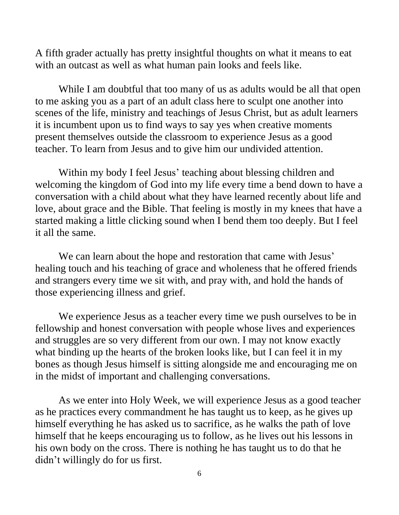A fifth grader actually has pretty insightful thoughts on what it means to eat with an outcast as well as what human pain looks and feels like.

While I am doubtful that too many of us as adults would be all that open to me asking you as a part of an adult class here to sculpt one another into scenes of the life, ministry and teachings of Jesus Christ, but as adult learners it is incumbent upon us to find ways to say yes when creative moments present themselves outside the classroom to experience Jesus as a good teacher. To learn from Jesus and to give him our undivided attention.

Within my body I feel Jesus' teaching about blessing children and welcoming the kingdom of God into my life every time a bend down to have a conversation with a child about what they have learned recently about life and love, about grace and the Bible. That feeling is mostly in my knees that have a started making a little clicking sound when I bend them too deeply. But I feel it all the same.

We can learn about the hope and restoration that came with Jesus' healing touch and his teaching of grace and wholeness that he offered friends and strangers every time we sit with, and pray with, and hold the hands of those experiencing illness and grief.

We experience Jesus as a teacher every time we push ourselves to be in fellowship and honest conversation with people whose lives and experiences and struggles are so very different from our own. I may not know exactly what binding up the hearts of the broken looks like, but I can feel it in my bones as though Jesus himself is sitting alongside me and encouraging me on in the midst of important and challenging conversations.

As we enter into Holy Week, we will experience Jesus as a good teacher as he practices every commandment he has taught us to keep, as he gives up himself everything he has asked us to sacrifice, as he walks the path of love himself that he keeps encouraging us to follow, as he lives out his lessons in his own body on the cross. There is nothing he has taught us to do that he didn't willingly do for us first.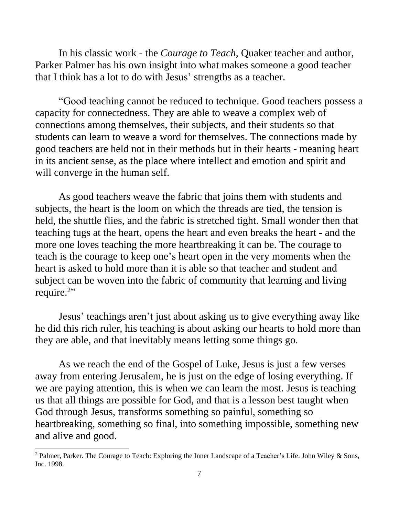In his classic work - the *Courage to Teach*, Quaker teacher and author, Parker Palmer has his own insight into what makes someone a good teacher that I think has a lot to do with Jesus' strengths as a teacher.

"Good teaching cannot be reduced to technique. Good teachers possess a capacity for connectedness. They are able to weave a complex web of connections among themselves, their subjects, and their students so that students can learn to weave a word for themselves. The connections made by good teachers are held not in their methods but in their hearts - meaning heart in its ancient sense, as the place where intellect and emotion and spirit and will converge in the human self.

As good teachers weave the fabric that joins them with students and subjects, the heart is the loom on which the threads are tied, the tension is held, the shuttle flies, and the fabric is stretched tight. Small wonder then that teaching tugs at the heart, opens the heart and even breaks the heart - and the more one loves teaching the more heartbreaking it can be. The courage to teach is the courage to keep one's heart open in the very moments when the heart is asked to hold more than it is able so that teacher and student and subject can be woven into the fabric of community that learning and living require.<sup>2</sup>"

Jesus' teachings aren't just about asking us to give everything away like he did this rich ruler, his teaching is about asking our hearts to hold more than they are able, and that inevitably means letting some things go.

As we reach the end of the Gospel of Luke, Jesus is just a few verses away from entering Jerusalem, he is just on the edge of losing everything. If we are paying attention, this is when we can learn the most. Jesus is teaching us that all things are possible for God, and that is a lesson best taught when God through Jesus, transforms something so painful, something so heartbreaking, something so final, into something impossible, something new and alive and good.

 $\overline{a}$ 

<sup>&</sup>lt;sup>2</sup> Palmer, Parker. The Courage to Teach: Exploring the Inner Landscape of a Teacher's Life. John Wiley & Sons, Inc. 1998.